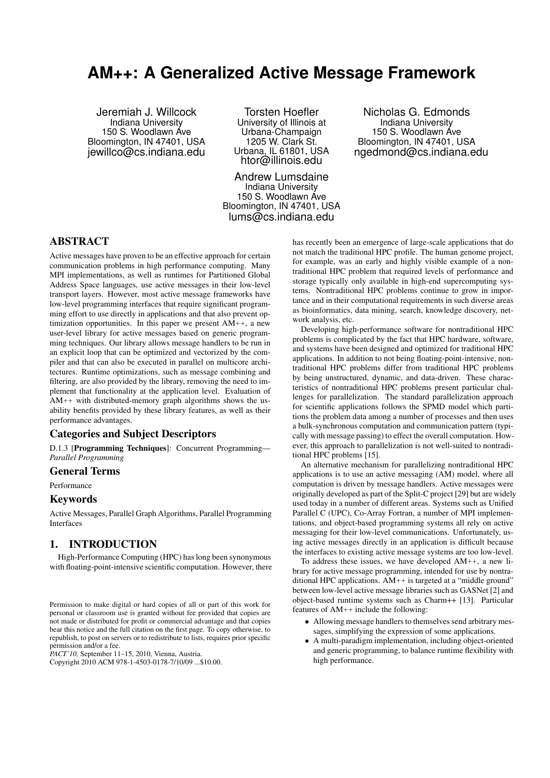# **AM++: A Generalized Active Message Framework**

Jeremiah J. Willcock Indiana University 150 S. Woodlawn Ave Bloomington, IN 47401, USA jewillco@cs.indiana.edu

Torsten Hoefler University of Illinois at Urbana-Champaign 1205 W. Clark St. Urbana, IL 61801, USA htor@illinois.edu

Andrew Lumsdaine Indiana University 150 S. Woodlawn Ave Bloomington, IN 47401, USA lums@cs.indiana.edu

Nicholas G. Edmonds Indiana University 150 S. Woodlawn Ave Bloomington, IN 47401, USA ngedmond@cs.indiana.edu

# ABSTRACT

Active messages have proven to be an effective approach for certain communication problems in high performance computing. Many MPI implementations, as well as runtimes for Partitioned Global Address Space languages, use active messages in their low-level transport layers. However, most active message frameworks have low-level programming interfaces that require significant programming effort to use directly in applications and that also prevent optimization opportunities. In this paper we present AM++, a new user-level library for active messages based on generic programming techniques. Our library allows message handlers to be run in an explicit loop that can be optimized and vectorized by the compiler and that can also be executed in parallel on multicore architectures. Runtime optimizations, such as message combining and filtering, are also provided by the library, removing the need to implement that functionality at the application level. Evaluation of AM++ with distributed-memory graph algorithms shows the usability benefits provided by these library features, as well as their performance advantages.

## Categories and Subject Descriptors

D.1.3 [Programming Techniques]: Concurrent Programming— *Parallel Programming*

#### General Terms

Performance

#### Keywords

Active Messages, Parallel Graph Algorithms, Parallel Programming Interfaces

# 1. INTRODUCTION

High-Performance Computing (HPC) has long been synonymous with floating-point-intensive scientific computation. However, there

Permission to make digital or hard copies of all or part of this work for personal or classroom use is granted without fee provided that copies are not made or distributed for profit or commercial advantage and that copies bear this notice and the full citation on the first page. To copy otherwise, to republish, to post on servers or to redistribute to lists, requires prior specific permission and/or a fee.

*PACT'10,* September 11–15, 2010, Vienna, Austria.

Copyright 2010 ACM 978-1-4503-0178-7/10/09 ...\$10.00.

has recently been an emergence of large-scale applications that do not match the traditional HPC profile. The human genome project, for example, was an early and highly visible example of a nontraditional HPC problem that required levels of performance and storage typically only available in high-end supercomputing systems. Nontraditional HPC problems continue to grow in importance and in their computational requirements in such diverse areas as bioinformatics, data mining, search, knowledge discovery, network analysis, etc.

Developing high-performance software for nontraditional HPC problems is complicated by the fact that HPC hardware, software, and systems have been designed and optimized for traditional HPC applications. In addition to not being floating-point-intensive, nontraditional HPC problems differ from traditional HPC problems by being unstructured, dynamic, and data-driven. These characteristics of nontraditional HPC problems present particular challenges for parallelization. The standard parallelization approach for scientific applications follows the SPMD model which partitions the problem data among a number of processes and then uses a bulk-synchronous computation and communication pattern (typically with message passing) to effect the overall computation. However, this approach to parallelization is not well-suited to nontraditional HPC problems [15].

An alternative mechanism for parallelizing nontraditional HPC applications is to use an active messaging (AM) model, where all computation is driven by message handlers. Active messages were originally developed as part of the Split-C project [29] but are widely used today in a number of different areas. Systems such as Unified Parallel C (UPC), Co-Array Fortran, a number of MPI implementations, and object-based programming systems all rely on active messaging for their low-level communications. Unfortunately, using active messages directly in an application is difficult because the interfaces to existing active message systems are too low-level.

To address these issues, we have developed AM++, a new library for active message programming, intended for use by nontraditional HPC applications. AM++ is targeted at a "middle ground" between low-level active message libraries such as GASNet [2] and object-based runtime systems such as Charm++ [13]. Particular features of AM++ include the following:

- Allowing message handlers to themselves send arbitrary messages, simplifying the expression of some applications.
- A multi-paradigm implementation, including object-oriented and generic programming, to balance runtime flexibility with high performance.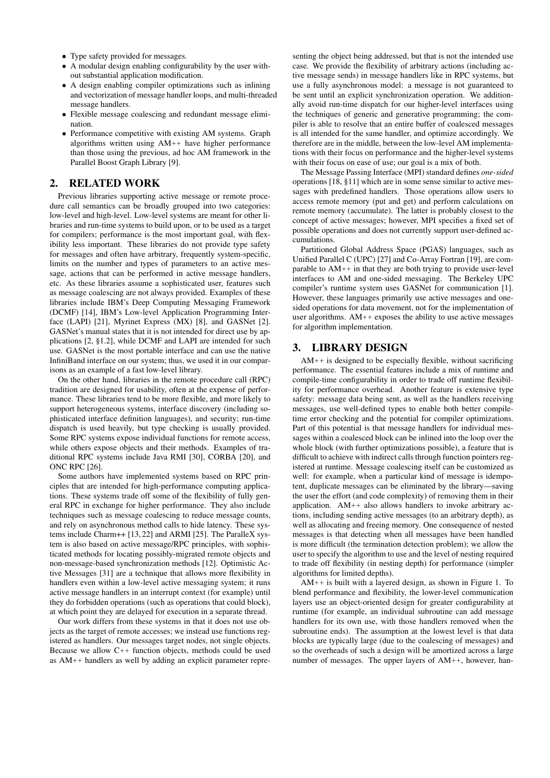- Type safety provided for messages.
- A modular design enabling configurability by the user without substantial application modification.
- A design enabling compiler optimizations such as inlining and vectorization of message handler loops, and multi-threaded message handlers.
- Flexible message coalescing and redundant message elimination.
- Performance competitive with existing AM systems. Graph algorithms written using AM++ have higher performance than those using the previous, ad hoc AM framework in the Parallel Boost Graph Library [9].

## 2. RELATED WORK

Previous libraries supporting active message or remote procedure call semantics can be broadly grouped into two categories: low-level and high-level. Low-level systems are meant for other libraries and run-time systems to build upon, or to be used as a target for compilers; performance is the most important goal, with flexibility less important. These libraries do not provide type safety for messages and often have arbitrary, frequently system-specific, limits on the number and types of parameters to an active message, actions that can be performed in active message handlers, etc. As these libraries assume a sophisticated user, features such as message coalescing are not always provided. Examples of these libraries include IBM's Deep Computing Messaging Framework (DCMF) [14], IBM's Low-level Application Programming Interface (LAPI) [21], Myrinet Express (MX) [8], and GASNet [2]. GASNet's manual states that it is not intended for direct use by applications [2, §1.2], while DCMF and LAPI are intended for such use. GASNet is the most portable interface and can use the native InfiniBand interface on our system; thus, we used it in our comparisons as an example of a fast low-level library.

On the other hand, libraries in the remote procedure call (RPC) tradition are designed for usability, often at the expense of performance. These libraries tend to be more flexible, and more likely to support heterogeneous systems, interface discovery (including sophisticated interface definition languages), and security; run-time dispatch is used heavily, but type checking is usually provided. Some RPC systems expose individual functions for remote access, while others expose objects and their methods. Examples of traditional RPC systems include Java RMI [30], CORBA [20], and ONC RPC [26].

Some authors have implemented systems based on RPC principles that are intended for high-performance computing applications. These systems trade off some of the flexibility of fully general RPC in exchange for higher performance. They also include techniques such as message coalescing to reduce message counts, and rely on asynchronous method calls to hide latency. These systems include Charm++ [13, 22] and ARMI [25]. The ParalleX system is also based on active message/RPC principles, with sophisticated methods for locating possibly-migrated remote objects and non-message-based synchronization methods [12]. Optimistic Active Messages [31] are a technique that allows more flexibility in handlers even within a low-level active messaging system; it runs active message handlers in an interrupt context (for example) until they do forbidden operations (such as operations that could block), at which point they are delayed for execution in a separate thread.

Our work differs from these systems in that it does not use objects as the target of remote accesses; we instead use functions registered as handlers. Our messages target nodes, not single objects. Because we allow C++ function objects, methods could be used as AM++ handlers as well by adding an explicit parameter repre-

senting the object being addressed, but that is not the intended use case. We provide the flexibility of arbitrary actions (including active message sends) in message handlers like in RPC systems, but use a fully asynchronous model: a message is not guaranteed to be sent until an explicit synchronization operation. We additionally avoid run-time dispatch for our higher-level interfaces using the techniques of generic and generative programming; the compiler is able to resolve that an entire buffer of coalesced messages is all intended for the same handler, and optimize accordingly. We therefore are in the middle, between the low-level AM implementations with their focus on performance and the higher-level systems with their focus on ease of use; our goal is a mix of both.

The Message Passing Interface (MPI) standard defines *one-sided* operations [18, §11] which are in some sense similar to active messages with predefined handlers. Those operations allow users to access remote memory (put and get) and perform calculations on remote memory (accumulate). The latter is probably closest to the concept of active messages; however, MPI specifies a fixed set of possible operations and does not currently support user-defined accumulations.

Partitioned Global Address Space (PGAS) languages, such as Unified Parallel C (UPC) [27] and Co-Array Fortran [19], are comparable to AM++ in that they are both trying to provide user-level interfaces to AM and one-sided messaging. The Berkeley UPC compiler's runtime system uses GASNet for communication [1]. However, these languages primarily use active messages and onesided operations for data movement, not for the implementation of user algorithms. AM++ exposes the ability to use active messages for algorithm implementation.

## 3. LIBRARY DESIGN

AM++ is designed to be especially flexible, without sacrificing performance. The essential features include a mix of runtime and compile-time configurability in order to trade off runtime flexibility for performance overhead. Another feature is extensive type safety: message data being sent, as well as the handlers receiving messages, use well-defined types to enable both better compiletime error checking and the potential for compiler optimizations. Part of this potential is that message handlers for individual messages within a coalesced block can be inlined into the loop over the whole block (with further optimizations possible), a feature that is difficult to achieve with indirect calls through function pointers registered at runtime. Message coalescing itself can be customized as well: for example, when a particular kind of message is idempotent, duplicate messages can be eliminated by the library—saving the user the effort (and code complexity) of removing them in their application. AM++ also allows handlers to invoke arbitrary actions, including sending active messages (to an arbitrary depth), as well as allocating and freeing memory. One consequence of nested messages is that detecting when all messages have been handled is more difficult (the termination detection problem); we allow the user to specify the algorithm to use and the level of nesting required to trade off flexibility (in nesting depth) for performance (simpler algorithms for limited depths).

AM++ is built with a layered design, as shown in Figure 1. To blend performance and flexibility, the lower-level communication layers use an object-oriented design for greater configurability at runtime (for example, an individual subroutine can add message handlers for its own use, with those handlers removed when the subroutine ends). The assumption at the lowest level is that data blocks are typically large (due to the coalescing of messages) and so the overheads of such a design will be amortized across a large number of messages. The upper layers of AM++, however, han-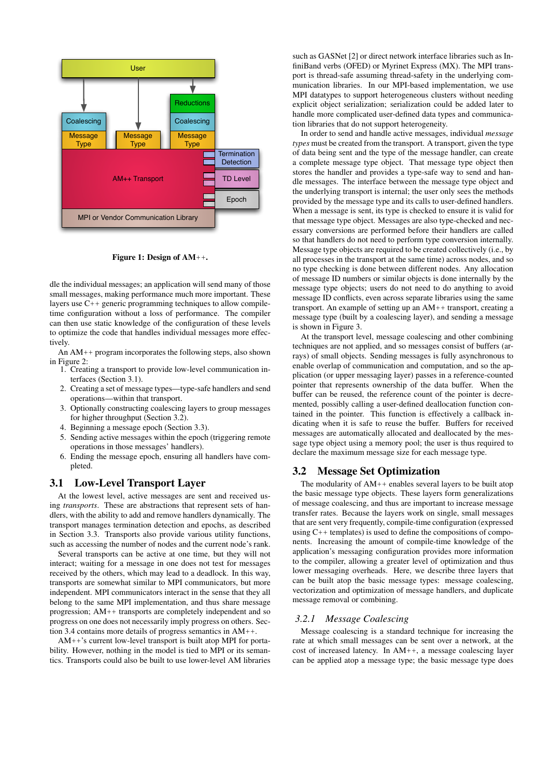

Figure 1: Design of AM++.

dle the individual messages; an application will send many of those small messages, making performance much more important. These layers use  $C_{++}$  generic programming techniques to allow compiletime configuration without a loss of performance. The compiler can then use static knowledge of the configuration of these levels to optimize the code that handles individual messages more effectively.

An AM++ program incorporates the following steps, also shown in Figure 2:

- 1. Creating a transport to provide low-level communication interfaces (Section 3.1).
- 2. Creating a set of message types—type-safe handlers and send operations—within that transport.
- 3. Optionally constructing coalescing layers to group messages for higher throughput (Section 3.2).
- 4. Beginning a message epoch (Section 3.3).
- 5. Sending active messages within the epoch (triggering remote operations in those messages' handlers).
- 6. Ending the message epoch, ensuring all handlers have completed.

#### 3.1 Low-Level Transport Layer

At the lowest level, active messages are sent and received using *transports*. These are abstractions that represent sets of handlers, with the ability to add and remove handlers dynamically. The transport manages termination detection and epochs, as described in Section 3.3. Transports also provide various utility functions, such as accessing the number of nodes and the current node's rank.

Several transports can be active at one time, but they will not interact; waiting for a message in one does not test for messages received by the others, which may lead to a deadlock. In this way, transports are somewhat similar to MPI communicators, but more independent. MPI communicators interact in the sense that they all belong to the same MPI implementation, and thus share message progression; AM++ transports are completely independent and so progress on one does not necessarily imply progress on others. Section 3.4 contains more details of progress semantics in AM++.

AM++'s current low-level transport is built atop MPI for portability. However, nothing in the model is tied to MPI or its semantics. Transports could also be built to use lower-level AM libraries

such as GASNet [2] or direct network interface libraries such as InfiniBand verbs (OFED) or Myrinet Express (MX). The MPI transport is thread-safe assuming thread-safety in the underlying communication libraries. In our MPI-based implementation, we use MPI datatypes to support heterogeneous clusters without needing explicit object serialization; serialization could be added later to handle more complicated user-defined data types and communication libraries that do not support heterogeneity.

In order to send and handle active messages, individual *message types* must be created from the transport. A transport, given the type of data being sent and the type of the message handler, can create a complete message type object. That message type object then stores the handler and provides a type-safe way to send and handle messages. The interface between the message type object and the underlying transport is internal; the user only sees the methods provided by the message type and its calls to user-defined handlers. When a message is sent, its type is checked to ensure it is valid for that message type object. Messages are also type-checked and necessary conversions are performed before their handlers are called so that handlers do not need to perform type conversion internally. Message type objects are required to be created collectively (i.e., by all processes in the transport at the same time) across nodes, and so no type checking is done between different nodes. Any allocation of message ID numbers or similar objects is done internally by the message type objects; users do not need to do anything to avoid message ID conflicts, even across separate libraries using the same transport. An example of setting up an AM++ transport, creating a message type (built by a coalescing layer), and sending a message is shown in Figure 3.

At the transport level, message coalescing and other combining techniques are not applied, and so messages consist of buffers (arrays) of small objects. Sending messages is fully asynchronous to enable overlap of communication and computation, and so the application (or upper messaging layer) passes in a reference-counted pointer that represents ownership of the data buffer. When the buffer can be reused, the reference count of the pointer is decremented, possibly calling a user-defined deallocation function contained in the pointer. This function is effectively a callback indicating when it is safe to reuse the buffer. Buffers for received messages are automatically allocated and deallocated by the message type object using a memory pool; the user is thus required to declare the maximum message size for each message type.

## 3.2 Message Set Optimization

The modularity of AM++ enables several layers to be built atop the basic message type objects. These layers form generalizations of message coalescing, and thus are important to increase message transfer rates. Because the layers work on single, small messages that are sent very frequently, compile-time configuration (expressed using  $C_{++}$  templates) is used to define the compositions of components. Increasing the amount of compile-time knowledge of the application's messaging configuration provides more information to the compiler, allowing a greater level of optimization and thus lower messaging overheads. Here, we describe three layers that can be built atop the basic message types: message coalescing, vectorization and optimization of message handlers, and duplicate message removal or combining.

#### *3.2.1 Message Coalescing*

Message coalescing is a standard technique for increasing the rate at which small messages can be sent over a network, at the cost of increased latency. In AM++, a message coalescing layer can be applied atop a message type; the basic message type does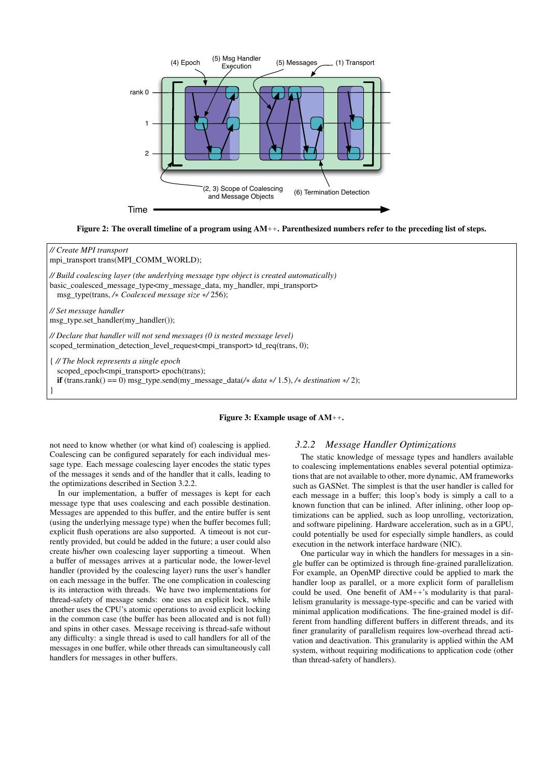

Figure 2: The overall timeline of a program using AM++. Parenthesized numbers refer to the preceding list of steps.



#### Figure 3: Example usage of AM++.

not need to know whether (or what kind of) coalescing is applied. Coalescing can be configured separately for each individual message type. Each message coalescing layer encodes the static types of the messages it sends and of the handler that it calls, leading to the optimizations described in Section 3.2.2.

In our implementation, a buffer of messages is kept for each message type that uses coalescing and each possible destination. Messages are appended to this buffer, and the entire buffer is sent (using the underlying message type) when the buffer becomes full; explicit flush operations are also supported. A timeout is not currently provided, but could be added in the future; a user could also create his/her own coalescing layer supporting a timeout. When a buffer of messages arrives at a particular node, the lower-level handler (provided by the coalescing layer) runs the user's handler on each message in the buffer. The one complication in coalescing is its interaction with threads. We have two implementations for thread-safety of message sends: one uses an explicit lock, while another uses the CPU's atomic operations to avoid explicit locking in the common case (the buffer has been allocated and is not full) and spins in other cases. Message receiving is thread-safe without any difficulty: a single thread is used to call handlers for all of the messages in one buffer, while other threads can simultaneously call handlers for messages in other buffers.

#### *3.2.2 Message Handler Optimizations*

The static knowledge of message types and handlers available to coalescing implementations enables several potential optimizations that are not available to other, more dynamic, AM frameworks such as GASNet. The simplest is that the user handler is called for each message in a buffer; this loop's body is simply a call to a known function that can be inlined. After inlining, other loop optimizations can be applied, such as loop unrolling, vectorization, and software pipelining. Hardware acceleration, such as in a GPU, could potentially be used for especially simple handlers, as could execution in the network interface hardware (NIC).

One particular way in which the handlers for messages in a single buffer can be optimized is through fine-grained parallelization. For example, an OpenMP directive could be applied to mark the handler loop as parallel, or a more explicit form of parallelism could be used. One benefit of AM++'s modularity is that parallelism granularity is message-type-specific and can be varied with minimal application modifications. The fine-grained model is different from handling different buffers in different threads, and its finer granularity of parallelism requires low-overhead thread activation and deactivation. This granularity is applied within the AM system, without requiring modifications to application code (other than thread-safety of handlers).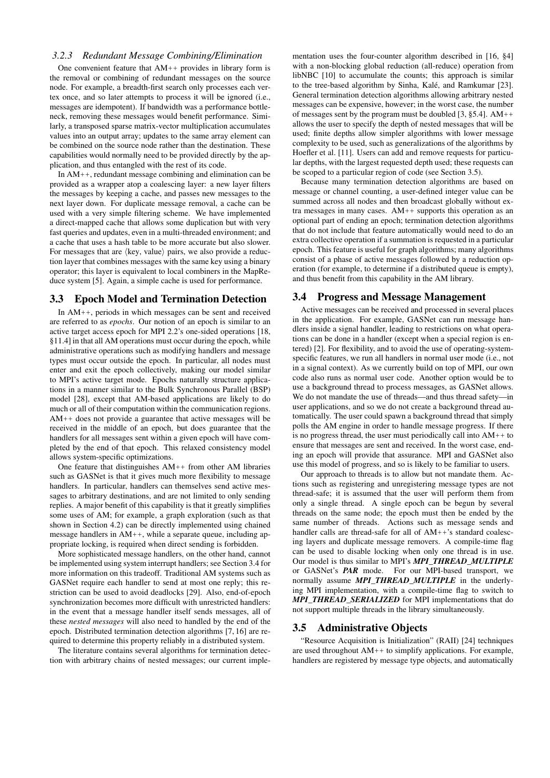#### *3.2.3 Redundant Message Combining/Elimination*

One convenient feature that  $AM++$  provides in library form is the removal or combining of redundant messages on the source node. For example, a breadth-first search only processes each vertex once, and so later attempts to process it will be ignored (i.e., messages are idempotent). If bandwidth was a performance bottleneck, removing these messages would benefit performance. Similarly, a transposed sparse matrix-vector multiplication accumulates values into an output array; updates to the same array element can be combined on the source node rather than the destination. These capabilities would normally need to be provided directly by the application, and thus entangled with the rest of its code.

In AM++, redundant message combining and elimination can be provided as a wrapper atop a coalescing layer: a new layer filters the messages by keeping a cache, and passes new messages to the next layer down. For duplicate message removal, a cache can be used with a very simple filtering scheme. We have implemented a direct-mapped cache that allows some duplication but with very fast queries and updates, even in a multi-threaded environment; and a cache that uses a hash table to be more accurate but also slower. For messages that are  $\langle \text{key}, \text{value} \rangle$  pairs, we also provide a reduction layer that combines messages with the same key using a binary operator; this layer is equivalent to local combiners in the MapReduce system [5]. Again, a simple cache is used for performance.

## 3.3 Epoch Model and Termination Detection

In AM++, periods in which messages can be sent and received are referred to as *epochs*. Our notion of an epoch is similar to an active target access epoch for MPI 2.2's one-sided operations [18, §11.4] in that all AM operations must occur during the epoch, while administrative operations such as modifying handlers and message types must occur outside the epoch. In particular, all nodes must enter and exit the epoch collectively, making our model similar to MPI's active target mode. Epochs naturally structure applications in a manner similar to the Bulk Synchronous Parallel (BSP) model [28], except that AM-based applications are likely to do much or all of their computation within the communication regions. AM++ does not provide a guarantee that active messages will be received in the middle of an epoch, but does guarantee that the handlers for all messages sent within a given epoch will have completed by the end of that epoch. This relaxed consistency model allows system-specific optimizations.

One feature that distinguishes AM++ from other AM libraries such as GASNet is that it gives much more flexibility to message handlers. In particular, handlers can themselves send active messages to arbitrary destinations, and are not limited to only sending replies. A major benefit of this capability is that it greatly simplifies some uses of AM; for example, a graph exploration (such as that shown in Section 4.2) can be directly implemented using chained message handlers in AM++, while a separate queue, including appropriate locking, is required when direct sending is forbidden.

More sophisticated message handlers, on the other hand, cannot be implemented using system interrupt handlers; see Section 3.4 for more information on this tradeoff. Traditional AM systems such as GASNet require each handler to send at most one reply; this restriction can be used to avoid deadlocks [29]. Also, end-of-epoch synchronization becomes more difficult with unrestricted handlers: in the event that a message handler itself sends messages, all of these *nested messages* will also need to handled by the end of the epoch. Distributed termination detection algorithms [7, 16] are required to determine this property reliably in a distributed system.

The literature contains several algorithms for termination detection with arbitrary chains of nested messages; our current imple-

mentation uses the four-counter algorithm described in [16, §4] with a non-blocking global reduction (all-reduce) operation from libNBC [10] to accumulate the counts; this approach is similar to the tree-based algorithm by Sinha, Kalé, and Ramkumar [23]. General termination detection algorithms allowing arbitrary nested messages can be expensive, however; in the worst case, the number of messages sent by the program must be doubled [3,  $\S$ 5.4]. AM++ allows the user to specify the depth of nested messages that will be used; finite depths allow simpler algorithms with lower message complexity to be used, such as generalizations of the algorithms by Hoefler et al. [11]. Users can add and remove requests for particular depths, with the largest requested depth used; these requests can be scoped to a particular region of code (see Section 3.5).

Because many termination detection algorithms are based on message or channel counting, a user-defined integer value can be summed across all nodes and then broadcast globally without extra messages in many cases. AM++ supports this operation as an optional part of ending an epoch; termination detection algorithms that do not include that feature automatically would need to do an extra collective operation if a summation is requested in a particular epoch. This feature is useful for graph algorithms; many algorithms consist of a phase of active messages followed by a reduction operation (for example, to determine if a distributed queue is empty), and thus benefit from this capability in the AM library.

## 3.4 Progress and Message Management

Active messages can be received and processed in several places in the application. For example, GASNet can run message handlers inside a signal handler, leading to restrictions on what operations can be done in a handler (except when a special region is entered) [2]. For flexibility, and to avoid the use of operating-systemspecific features, we run all handlers in normal user mode (i.e., not in a signal context). As we currently build on top of MPI, our own code also runs as normal user code. Another option would be to use a background thread to process messages, as GASNet allows. We do not mandate the use of threads—and thus thread safety—in user applications, and so we do not create a background thread automatically. The user could spawn a background thread that simply polls the AM engine in order to handle message progress. If there is no progress thread, the user must periodically call into AM++ to ensure that messages are sent and received. In the worst case, ending an epoch will provide that assurance. MPI and GASNet also use this model of progress, and so is likely to be familiar to users.

Our approach to threads is to allow but not mandate them. Actions such as registering and unregistering message types are not thread-safe; it is assumed that the user will perform them from only a single thread. A single epoch can be begun by several threads on the same node; the epoch must then be ended by the same number of threads. Actions such as message sends and handler calls are thread-safe for all of AM++'s standard coalescing layers and duplicate message removers. A compile-time flag can be used to disable locking when only one thread is in use. Our model is thus similar to MPI's *MPI\_THREAD\_MULTIPLE* or GASNet's *PAR* mode. For our MPI-based transport, we normally assume *MPI\_THREAD\_MULTIPLE* in the underlying MPI implementation, with a compile-time flag to switch to *MPI\_THREAD\_SERIALIZED* for MPI implementations that do not support multiple threads in the library simultaneously.

## 3.5 Administrative Objects

"Resource Acquisition is Initialization" (RAII) [24] techniques are used throughout AM++ to simplify applications. For example, handlers are registered by message type objects, and automatically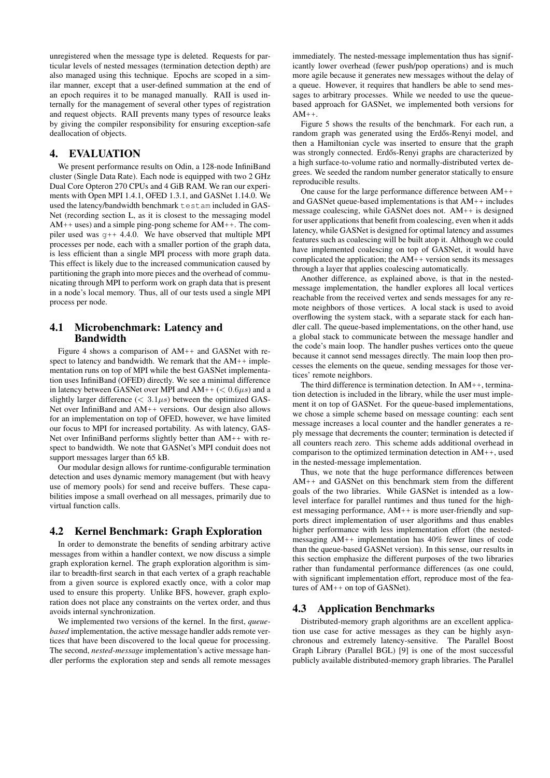unregistered when the message type is deleted. Requests for particular levels of nested messages (termination detection depth) are also managed using this technique. Epochs are scoped in a similar manner, except that a user-defined summation at the end of an epoch requires it to be managed manually. RAII is used internally for the management of several other types of registration and request objects. RAII prevents many types of resource leaks by giving the compiler responsibility for ensuring exception-safe deallocation of objects.

# 4. EVALUATION

We present performance results on Odin, a 128-node InfiniBand cluster (Single Data Rate). Each node is equipped with two 2 GHz Dual Core Opteron 270 CPUs and 4 GiB RAM. We ran our experiments with Open MPI 1.4.1, OFED 1.3.1, and GASNet 1.14.0. We used the latency/bandwidth benchmark testam included in GAS-Net (recording section L, as it is closest to the messaging model AM++ uses) and a simple ping-pong scheme for AM++. The compiler used was g++ 4.4.0. We have observed that multiple MPI processes per node, each with a smaller portion of the graph data, is less efficient than a single MPI process with more graph data. This effect is likely due to the increased communication caused by partitioning the graph into more pieces and the overhead of communicating through MPI to perform work on graph data that is present in a node's local memory. Thus, all of our tests used a single MPI process per node.

# 4.1 Microbenchmark: Latency and Bandwidth

Figure 4 shows a comparison of AM++ and GASNet with respect to latency and bandwidth. We remark that the AM++ implementation runs on top of MPI while the best GASNet implementation uses InfiniBand (OFED) directly. We see a minimal difference in latency between GASNet over MPI and  $AM++ \left( < 0.6 \mu s \right)$  and a slightly larger difference  $\left($  < 3.1 $\mu$ s) between the optimized GAS-Net over InfiniBand and AM++ versions. Our design also allows for an implementation on top of OFED, however, we have limited our focus to MPI for increased portability. As with latency, GAS-Net over InfiniBand performs slightly better than AM++ with respect to bandwidth. We note that GASNet's MPI conduit does not support messages larger than 65 kB.

Our modular design allows for runtime-configurable termination detection and uses dynamic memory management (but with heavy use of memory pools) for send and receive buffers. These capabilities impose a small overhead on all messages, primarily due to virtual function calls.

## 4.2 Kernel Benchmark: Graph Exploration

In order to demonstrate the benefits of sending arbitrary active messages from within a handler context, we now discuss a simple graph exploration kernel. The graph exploration algorithm is similar to breadth-first search in that each vertex of a graph reachable from a given source is explored exactly once, with a color map used to ensure this property. Unlike BFS, however, graph exploration does not place any constraints on the vertex order, and thus avoids internal synchronization.

We implemented two versions of the kernel. In the first, *queuebased* implementation, the active message handler adds remote vertices that have been discovered to the local queue for processing. The second, *nested-message* implementation's active message handler performs the exploration step and sends all remote messages immediately. The nested-message implementation thus has significantly lower overhead (fewer push/pop operations) and is much more agile because it generates new messages without the delay of a queue. However, it requires that handlers be able to send messages to arbitrary processes. While we needed to use the queuebased approach for GASNet, we implemented both versions for  $AM++$ .

Figure 5 shows the results of the benchmark. For each run, a random graph was generated using the Erdős-Renyi model, and then a Hamiltonian cycle was inserted to ensure that the graph was strongly connected. Erdős-Renyi graphs are characterized by a high surface-to-volume ratio and normally-distributed vertex degrees. We seeded the random number generator statically to ensure reproducible results.

One cause for the large performance difference between AM++ and GASNet queue-based implementations is that AM++ includes message coalescing, while GASNet does not. AM++ is designed for user applications that benefit from coalescing, even when it adds latency, while GASNet is designed for optimal latency and assumes features such as coalescing will be built atop it. Although we could have implemented coalescing on top of GASNet, it would have complicated the application; the AM++ version sends its messages through a layer that applies coalescing automatically.

Another difference, as explained above, is that in the nestedmessage implementation, the handler explores all local vertices reachable from the received vertex and sends messages for any remote neighbors of those vertices. A local stack is used to avoid overflowing the system stack, with a separate stack for each handler call. The queue-based implementations, on the other hand, use a global stack to communicate between the message handler and the code's main loop. The handler pushes vertices onto the queue because it cannot send messages directly. The main loop then processes the elements on the queue, sending messages for those vertices' remote neighbors.

The third difference is termination detection. In AM++, termination detection is included in the library, while the user must implement it on top of GASNet. For the queue-based implementations, we chose a simple scheme based on message counting: each sent message increases a local counter and the handler generates a reply message that decrements the counter; termination is detected if all counters reach zero. This scheme adds additional overhead in comparison to the optimized termination detection in AM++, used in the nested-message implementation.

Thus, we note that the huge performance differences between AM++ and GASNet on this benchmark stem from the different goals of the two libraries. While GASNet is intended as a lowlevel interface for parallel runtimes and thus tuned for the highest messaging performance, AM++ is more user-friendly and supports direct implementation of user algorithms and thus enables higher performance with less implementation effort (the nestedmessaging AM++ implementation has 40% fewer lines of code than the queue-based GASNet version). In this sense, our results in this section emphasize the different purposes of the two libraries rather than fundamental performance differences (as one could, with significant implementation effort, reproduce most of the features of AM++ on top of GASNet).

## 4.3 Application Benchmarks

Distributed-memory graph algorithms are an excellent application use case for active messages as they can be highly asynchronous and extremely latency-sensitive. The Parallel Boost Graph Library (Parallel BGL) [9] is one of the most successful publicly available distributed-memory graph libraries. The Parallel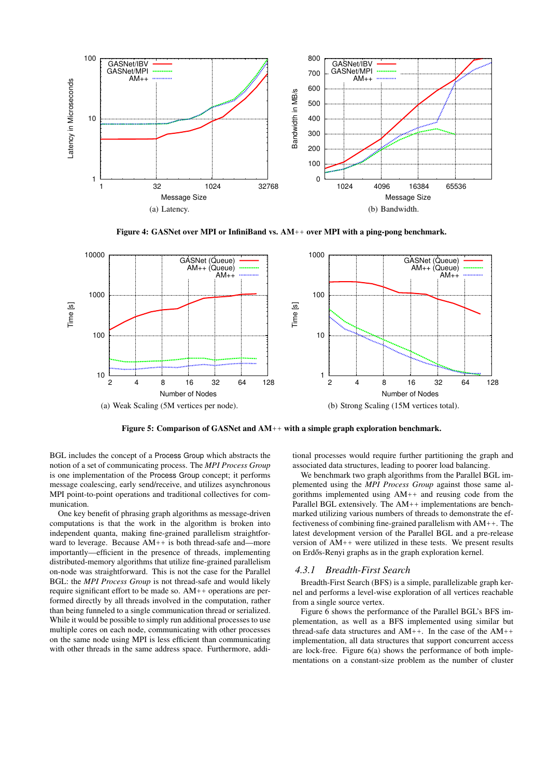

Figure 4: GASNet over MPI or InfiniBand vs. AM++ over MPI with a ping-pong benchmark.



Figure 5: Comparison of GASNet and AM++ with a simple graph exploration benchmark.

BGL includes the concept of a Process Group which abstracts the notion of a set of communicating process. The *MPI Process Group* is one implementation of the Process Group concept; it performs message coalescing, early send/receive, and utilizes asynchronous MPI point-to-point operations and traditional collectives for communication.

One key benefit of phrasing graph algorithms as message-driven computations is that the work in the algorithm is broken into independent quanta, making fine-grained parallelism straightforward to leverage. Because AM++ is both thread-safe and—more importantly—efficient in the presence of threads, implementing distributed-memory algorithms that utilize fine-grained parallelism on-node was straightforward. This is not the case for the Parallel BGL: the *MPI Process Group* is not thread-safe and would likely require significant effort to be made so. AM++ operations are performed directly by all threads involved in the computation, rather than being funneled to a single communication thread or serialized. While it would be possible to simply run additional processes to use multiple cores on each node, communicating with other processes on the same node using MPI is less efficient than communicating with other threads in the same address space. Furthermore, addi-

tional processes would require further partitioning the graph and associated data structures, leading to poorer load balancing.

We benchmark two graph algorithms from the Parallel BGL implemented using the *MPI Process Group* against those same algorithms implemented using AM++ and reusing code from the Parallel BGL extensively. The AM++ implementations are benchmarked utilizing various numbers of threads to demonstrate the effectiveness of combining fine-grained parallelism with AM++. The latest development version of the Parallel BGL and a pre-release version of AM++ were utilized in these tests. We present results on Erdős-Renyi graphs as in the graph exploration kernel.

#### *4.3.1 Breadth-First Search*

Breadth-First Search (BFS) is a simple, parallelizable graph kernel and performs a level-wise exploration of all vertices reachable from a single source vertex.

Figure 6 shows the performance of the Parallel BGL's BFS implementation, as well as a BFS implemented using similar but thread-safe data structures and AM++. In the case of the AM++ implementation, all data structures that support concurrent access are lock-free. Figure 6(a) shows the performance of both implementations on a constant-size problem as the number of cluster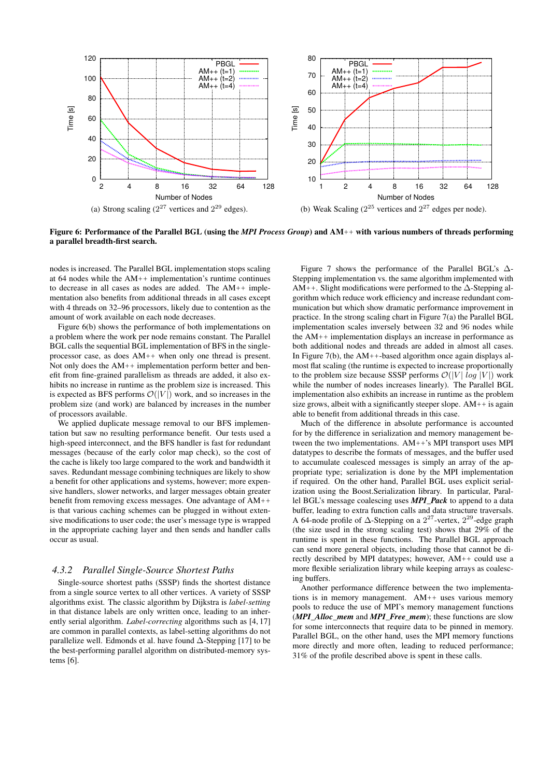

Figure 6: Performance of the Parallel BGL (using the *MPI Process Group*) and AM++ with various numbers of threads performing a parallel breadth-first search.

nodes is increased. The Parallel BGL implementation stops scaling at 64 nodes while the AM++ implementation's runtime continues to decrease in all cases as nodes are added. The AM++ implementation also benefits from additional threads in all cases except with 4 threads on 32–96 processors, likely due to contention as the amount of work available on each node decreases.

Figure 6(b) shows the performance of both implementations on a problem where the work per node remains constant. The Parallel BGL calls the sequential BGL implementation of BFS in the singleprocessor case, as does AM++ when only one thread is present. Not only does the AM++ implementation perform better and benefit from fine-grained parallelism as threads are added, it also exhibits no increase in runtime as the problem size is increased. This is expected as BFS performs  $\mathcal{O}(|V|)$  work, and so increases in the problem size (and work) are balanced by increases in the number of processors available.

We applied duplicate message removal to our BFS implementation but saw no resulting performance benefit. Our tests used a high-speed interconnect, and the BFS handler is fast for redundant messages (because of the early color map check), so the cost of the cache is likely too large compared to the work and bandwidth it saves. Redundant message combining techniques are likely to show a benefit for other applications and systems, however; more expensive handlers, slower networks, and larger messages obtain greater benefit from removing excess messages. One advantage of AM++ is that various caching schemes can be plugged in without extensive modifications to user code; the user's message type is wrapped in the appropriate caching layer and then sends and handler calls occur as usual.

#### *4.3.2 Parallel Single-Source Shortest Paths*

Single-source shortest paths (SSSP) finds the shortest distance from a single source vertex to all other vertices. A variety of SSSP algorithms exist. The classic algorithm by Dijkstra is *label-setting* in that distance labels are only written once, leading to an inherently serial algorithm. *Label-correcting* algorithms such as [4, 17] are common in parallel contexts, as label-setting algorithms do not parallelize well. Edmonds et al. have found ∆-Stepping [17] to be the best-performing parallel algorithm on distributed-memory systems [6].

Figure 7 shows the performance of the Parallel BGL's  $\Delta$ -Stepping implementation vs. the same algorithm implemented with AM++. Slight modifications were performed to the  $\Delta$ -Stepping algorithm which reduce work efficiency and increase redundant communication but which show dramatic performance improvement in practice. In the strong scaling chart in Figure 7(a) the Parallel BGL implementation scales inversely between 32 and 96 nodes while the AM++ implementation displays an increase in performance as both additional nodes and threads are added in almost all cases. In Figure 7(b), the AM++-based algorithm once again displays almost flat scaling (the runtime is expected to increase proportionally to the problem size because SSSP performs  $\mathcal{O}(|V| \log |V|)$  work while the number of nodes increases linearly). The Parallel BGL implementation also exhibits an increase in runtime as the problem size grows, albeit with a significantly steeper slope.  $AM++$  is again able to benefit from additional threads in this case.

Much of the difference in absolute performance is accounted for by the difference in serialization and memory management between the two implementations. AM++'s MPI transport uses MPI datatypes to describe the formats of messages, and the buffer used to accumulate coalesced messages is simply an array of the appropriate type; serialization is done by the MPI implementation if required. On the other hand, Parallel BGL uses explicit serialization using the Boost.Serialization library. In particular, Parallel BGL's message coalescing uses *MPI\_Pack* to append to a data buffer, leading to extra function calls and data structure traversals. A 64-node profile of  $\Delta$ -Stepping on a  $2^{27}$ -vertex,  $2^{29}$ -edge graph (the size used in the strong scaling test) shows that 29% of the runtime is spent in these functions. The Parallel BGL approach can send more general objects, including those that cannot be directly described by MPI datatypes; however, AM++ could use a more flexible serialization library while keeping arrays as coalescing buffers.

Another performance difference between the two implementations is in memory management. AM++ uses various memory pools to reduce the use of MPI's memory management functions (*MPI\_Alloc\_mem* and *MPI\_Free\_mem*); these functions are slow for some interconnects that require data to be pinned in memory. Parallel BGL, on the other hand, uses the MPI memory functions more directly and more often, leading to reduced performance; 31% of the profile described above is spent in these calls.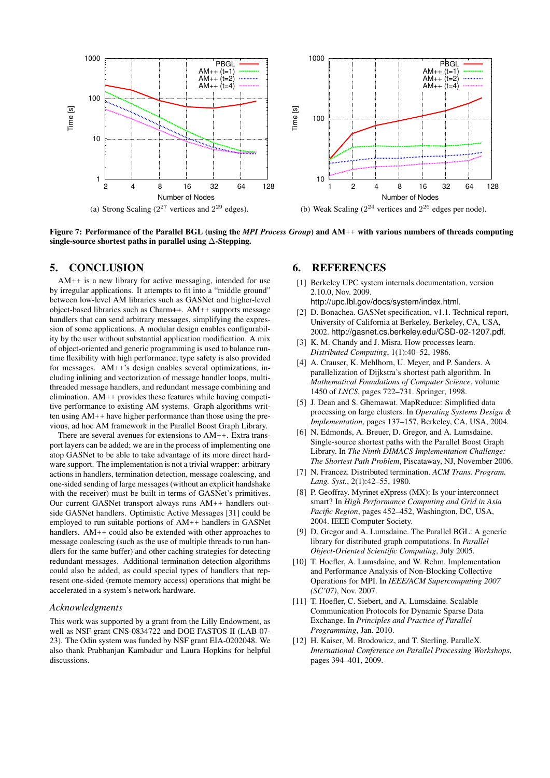

Figure 7: Performance of the Parallel BGL (using the *MPI Process Group*) and AM++ with various numbers of threads computing single-source shortest paths in parallel using ∆-Stepping.

## 5. CONCLUSION

AM++ is a new library for active messaging, intended for use by irregular applications. It attempts to fit into a "middle ground" between low-level AM libraries such as GASNet and higher-level object-based libraries such as Charm++. AM++ supports message handlers that can send arbitrary messages, simplifying the expression of some applications. A modular design enables configurability by the user without substantial application modification. A mix of object-oriented and generic programming is used to balance runtime flexibility with high performance; type safety is also provided for messages. AM++'s design enables several optimizations, including inlining and vectorization of message handler loops, multithreaded message handlers, and redundant message combining and elimination. AM++ provides these features while having competitive performance to existing AM systems. Graph algorithms written using AM++ have higher performance than those using the previous, ad hoc AM framework in the Parallel Boost Graph Library.

There are several avenues for extensions to AM++. Extra transport layers can be added; we are in the process of implementing one atop GASNet to be able to take advantage of its more direct hardware support. The implementation is not a trivial wrapper: arbitrary actions in handlers, termination detection, message coalescing, and one-sided sending of large messages (without an explicit handshake with the receiver) must be built in terms of GASNet's primitives. Our current GASNet transport always runs AM++ handlers outside GASNet handlers. Optimistic Active Messages [31] could be employed to run suitable portions of AM++ handlers in GASNet handlers. AM<sup>++</sup> could also be extended with other approaches to message coalescing (such as the use of multiple threads to run handlers for the same buffer) and other caching strategies for detecting redundant messages. Additional termination detection algorithms could also be added, as could special types of handlers that represent one-sided (remote memory access) operations that might be accelerated in a system's network hardware.

#### *Acknowledgments*

This work was supported by a grant from the Lilly Endowment, as well as NSF grant CNS-0834722 and DOE FASTOS II (LAB 07- 23). The Odin system was funded by NSF grant EIA-0202048. We also thank Prabhanjan Kambadur and Laura Hopkins for helpful discussions.

# 6. REFERENCES

[1] Berkeley UPC system internals documentation, version 2.10.0, Nov. 2009.

http://upc.lbl.gov/docs/system/index.html.

- [2] D. Bonachea. GASNet specification, v1.1. Technical report, University of California at Berkeley, Berkeley, CA, USA, 2002. http://gasnet.cs.berkeley.edu/CSD-02-1207.pdf.
- [3] K. M. Chandy and J. Misra. How processes learn. *Distributed Computing*, 1(1):40–52, 1986.
- [4] A. Crauser, K. Mehlhorn, U. Meyer, and P. Sanders. A parallelization of Dijkstra's shortest path algorithm. In *Mathematical Foundations of Computer Science*, volume 1450 of *LNCS*, pages 722–731. Springer, 1998.
- [5] J. Dean and S. Ghemawat. MapReduce: Simplified data processing on large clusters. In *Operating Systems Design & Implementation*, pages 137–157, Berkeley, CA, USA, 2004.
- [6] N. Edmonds, A. Breuer, D. Gregor, and A. Lumsdaine. Single-source shortest paths with the Parallel Boost Graph Library. In *The Ninth DIMACS Implementation Challenge: The Shortest Path Problem*, Piscataway, NJ, November 2006.
- [7] N. Francez. Distributed termination. *ACM Trans. Program. Lang. Syst.*, 2(1):42–55, 1980.
- [8] P. Geoffray. Myrinet eXpress (MX): Is your interconnect smart? In *High Performance Computing and Grid in Asia Pacific Region*, pages 452–452, Washington, DC, USA, 2004. IEEE Computer Society.
- [9] D. Gregor and A. Lumsdaine. The Parallel BGL: A generic library for distributed graph computations. In *Parallel Object-Oriented Scientific Computing*, July 2005.
- [10] T. Hoefler, A. Lumsdaine, and W. Rehm. Implementation and Performance Analysis of Non-Blocking Collective Operations for MPI. In *IEEE/ACM Supercomputing 2007 (SC'07)*, Nov. 2007.
- [11] T. Hoefler, C. Siebert, and A. Lumsdaine. Scalable Communication Protocols for Dynamic Sparse Data Exchange. In *Principles and Practice of Parallel Programming*, Jan. 2010.
- [12] H. Kaiser, M. Brodowicz, and T. Sterling. ParalleX. *International Conference on Parallel Processing Workshops*, pages 394–401, 2009.